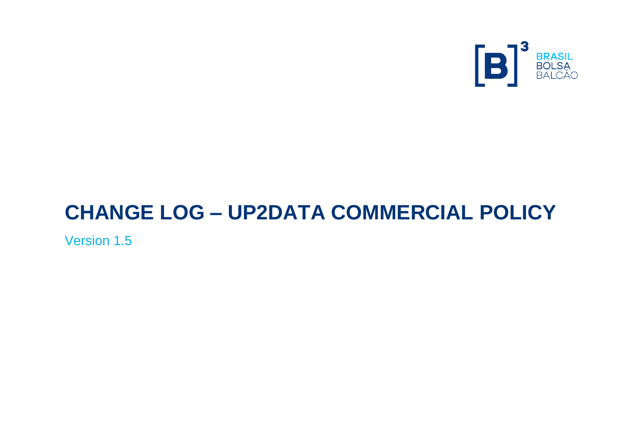

# **CHANGE LOG – UP2DATA COMMERCIAL POLICY**

Version 1.5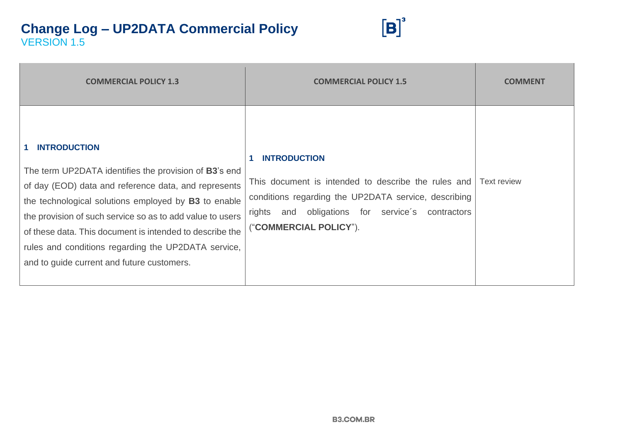

| <b>COMMERCIAL POLICY 1.3</b>                                                                                                                                                                                                                                                                                                                                                                                                                       | <b>COMMERCIAL POLICY 1.5</b>                                                                                                                                                                                        | <b>COMMENT</b>     |
|----------------------------------------------------------------------------------------------------------------------------------------------------------------------------------------------------------------------------------------------------------------------------------------------------------------------------------------------------------------------------------------------------------------------------------------------------|---------------------------------------------------------------------------------------------------------------------------------------------------------------------------------------------------------------------|--------------------|
| <b>INTRODUCTION</b><br>$\mathbf{1}$<br>The term UP2DATA identifies the provision of <b>B3</b> 's end<br>of day (EOD) data and reference data, and represents<br>the technological solutions employed by B3 to enable<br>the provision of such service so as to add value to users<br>of these data. This document is intended to describe the<br>rules and conditions regarding the UP2DATA service,<br>and to guide current and future customers. | <b>INTRODUCTION</b><br>This document is intended to describe the rules and<br>conditions regarding the UP2DATA service, describing<br>rights and obligations for service's<br>contractors<br>("COMMERCIAL POLICY"). | <b>Text review</b> |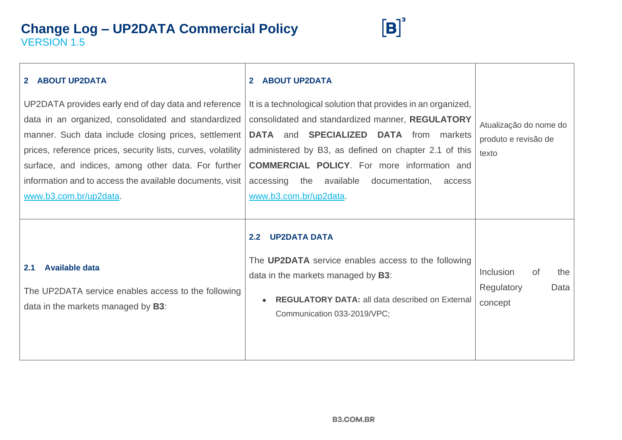

| 2 ABOUT UP2DATA<br>UP2DATA provides early end of day data and reference<br>data in an organized, consolidated and standardized<br>manner. Such data include closing prices, settlement<br>prices, reference prices, security lists, curves, volatility<br>surface, and indices, among other data. For further<br>information and to access the available documents, visit<br>www.b3.com.br/up2data. | <b>ABOUT UP2DATA</b><br>$\mathbf{2}^-$<br>It is a technological solution that provides in an organized,<br>consolidated and standardized manner, REGULATORY<br>and <b>SPECIALIZED DATA</b> from markets<br><b>DATA</b><br>administered by B3, as defined on chapter 2.1 of this<br><b>COMMERCIAL POLICY.</b> For more information and<br>accessing the available<br>documentation,<br>access<br>www.b3.com.br/up2data. | Atualização do nome do<br>produto e revisão de<br>texto |
|-----------------------------------------------------------------------------------------------------------------------------------------------------------------------------------------------------------------------------------------------------------------------------------------------------------------------------------------------------------------------------------------------------|------------------------------------------------------------------------------------------------------------------------------------------------------------------------------------------------------------------------------------------------------------------------------------------------------------------------------------------------------------------------------------------------------------------------|---------------------------------------------------------|
| <b>Available data</b><br>2.1<br>The UP2DATA service enables access to the following<br>data in the markets managed by <b>B3</b> :                                                                                                                                                                                                                                                                   | <b>UP2DATA DATA</b><br>2.2<br>The <b>UP2DATA</b> service enables access to the following<br>data in the markets managed by B3:<br><b>REGULATORY DATA: all data described on External</b><br>$\bullet$<br>Communication 033-2019/VPC;                                                                                                                                                                                   | Inclusion<br>of<br>the<br>Regulatory<br>Data<br>concept |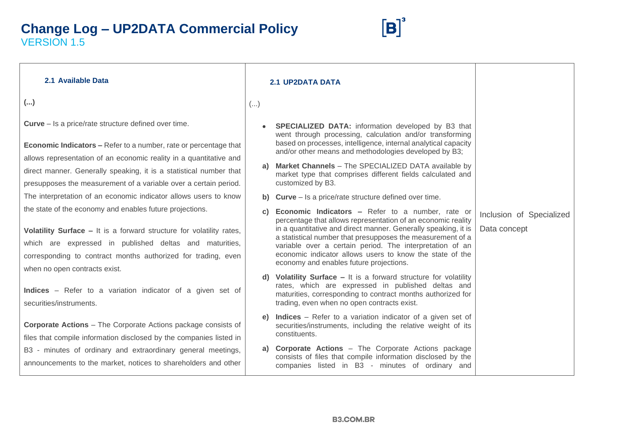

| 2.1 Available Data                                                                                                                                                                                                                                                                            |    | <b>2.1 UP2DATA DATA</b>                                                                                                                                                                                                                                                                                                                                                                                                    |                                          |
|-----------------------------------------------------------------------------------------------------------------------------------------------------------------------------------------------------------------------------------------------------------------------------------------------|----|----------------------------------------------------------------------------------------------------------------------------------------------------------------------------------------------------------------------------------------------------------------------------------------------------------------------------------------------------------------------------------------------------------------------------|------------------------------------------|
| ()                                                                                                                                                                                                                                                                                            | () |                                                                                                                                                                                                                                                                                                                                                                                                                            |                                          |
| <b>Curve</b> – Is a price/rate structure defined over time.<br><b>Economic Indicators - Refer to a number, rate or percentage that</b><br>allows representation of an economic reality in a quantitative and                                                                                  |    | <b>SPECIALIZED DATA:</b> information developed by B3 that<br>went through processing, calculation and/or transforming<br>based on processes, intelligence, internal analytical capacity<br>and/or other means and methodologies developed by B3;                                                                                                                                                                           |                                          |
| direct manner. Generally speaking, it is a statistical number that<br>presupposes the measurement of a variable over a certain period.                                                                                                                                                        | a) | Market Channels - The SPECIALIZED DATA available by<br>market type that comprises different fields calculated and<br>customized by B3.                                                                                                                                                                                                                                                                                     |                                          |
| The interpretation of an economic indicator allows users to know                                                                                                                                                                                                                              |    | <b>b)</b> Curve – Is a price/rate structure defined over time.                                                                                                                                                                                                                                                                                                                                                             |                                          |
| the state of the economy and enables future projections.<br>Volatility Surface - It is a forward structure for volatility rates,<br>which are expressed in published deltas and maturities,<br>corresponding to contract months authorized for trading, even<br>when no open contracts exist. | C) | <b>Economic Indicators - Refer to a number, rate or</b><br>percentage that allows representation of an economic reality<br>in a quantitative and direct manner. Generally speaking, it is<br>a statistical number that presupposes the measurement of a<br>variable over a certain period. The interpretation of an<br>economic indicator allows users to know the state of the<br>economy and enables future projections. | Inclusion of Specialized<br>Data concept |
| Indices - Refer to a variation indicator of a given set of<br>securities/instruments.                                                                                                                                                                                                         |    | Volatility Surface - It is a forward structure for volatility<br>rates, which are expressed in published deltas and<br>maturities, corresponding to contract months authorized for<br>trading, even when no open contracts exist.                                                                                                                                                                                          |                                          |
| <b>Corporate Actions</b> – The Corporate Actions package consists of<br>files that compile information disclosed by the companies listed in                                                                                                                                                   | e) | <b>Indices</b> – Refer to a variation indicator of a given set of<br>securities/instruments, including the relative weight of its<br>constituents.                                                                                                                                                                                                                                                                         |                                          |
| B3 - minutes of ordinary and extraordinary general meetings,<br>announcements to the market, notices to shareholders and other                                                                                                                                                                |    | a) Corporate Actions - The Corporate Actions package<br>consists of files that compile information disclosed by the<br>companies listed in B3 - minutes of ordinary and                                                                                                                                                                                                                                                    |                                          |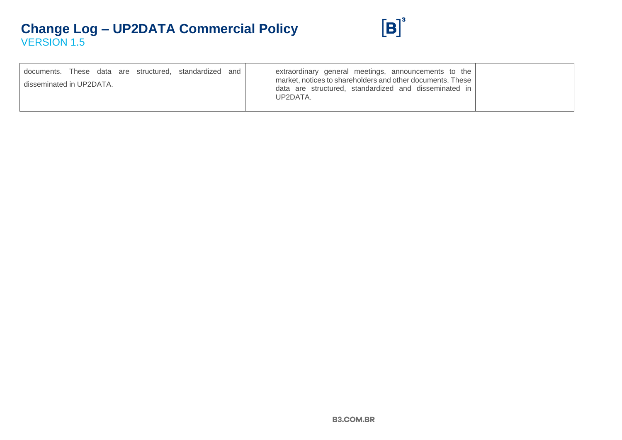

| documents. These data are structured, standardized and | extraordinary general meetings, announcements to the<br>market, notices to shareholders and other documents. These |  |
|--------------------------------------------------------|--------------------------------------------------------------------------------------------------------------------|--|
| disseminated in UP2DATA.                               | data are structured, standardized and disseminated in<br>UP2DATA.                                                  |  |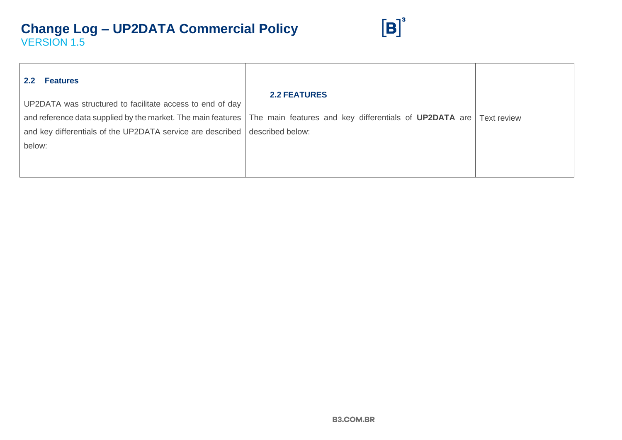

| 2.2<br><b>Features</b>                                     |                                                                                                                                     |  |
|------------------------------------------------------------|-------------------------------------------------------------------------------------------------------------------------------------|--|
| UP2DATA was structured to facilitate access to end of day  | <b>2.2 FEATURES</b>                                                                                                                 |  |
|                                                            | and reference data supplied by the market. The main features   The main features and key differentials of UP2DATA are   Text review |  |
| and key differentials of the UP2DATA service are described | described below:                                                                                                                    |  |
| below:                                                     |                                                                                                                                     |  |
|                                                            |                                                                                                                                     |  |
|                                                            |                                                                                                                                     |  |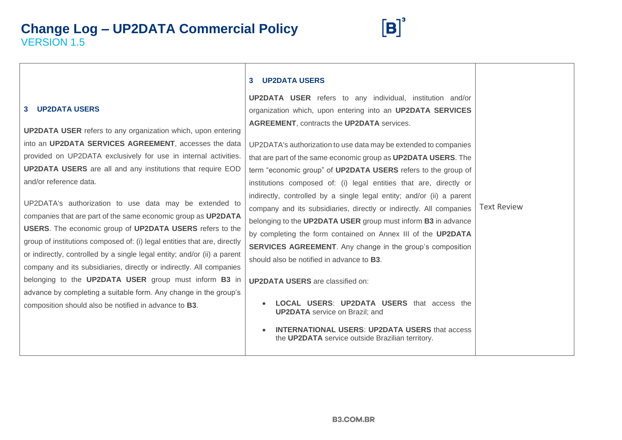

## **3 UP2DATA USERS UP2DATA USER** refers to any individual, institution and/or organization which, upon entering into an **UP2DATA SERVICES AGREEMENT**, contracts the **UP2DATA** services. UP2DATA's authorization to use data may be extended to companies that are part of the same economic group as **UP2DATA USERS**. The term "economic group" of **UP2DATA USERS** refers to the group of institutions composed of: (i) legal entities that are, directly or indirectly, controlled by a single legal entity; and/or (ii) a parent company and its subsidiaries, directly or indirectly. All companies belonging to the **UP2DATA USER** group must inform **B3** in advance by completing the form contained on Annex III of the **UP2DATA SERVICES AGREEMENT.** Any change in the group's composition should also be notified in advance to **B3**. **UP2DATA USERS** are classified on: • **LOCAL USERS**: **UP2DATA USERS** that access the **UP2DATA** service on Brazil; and • **INTERNATIONAL USERS**: **UP2DATA USERS** that access the **UP2DATA** service outside Brazilian territory. Text Review

#### **3 UP2DATA USERS**

**UP2DATA USER** refers to any organization which, upon entering into an **UP2DATA SERVICES AGREEMENT**, accesses the data provided on UP2DATA exclusively for use in internal activities. **UP2DATA USERS** are all and any institutions that require EOD and/or reference data.

UP2DATA's authorization to use data may be extended to companies that are part of the same economic group as **UP2DATA USERS**. The economic group of **UP2DATA USERS** refers to the group of institutions composed of: (i) legal entities that are, directly or indirectly, controlled by a single legal entity; and/or (ii) a parent company and its subsidiaries, directly or indirectly. All companies belonging to the **UP2DATA USER** group must inform **B3** in advance by completing a suitable form. Any change in the group's composition should also be notified in advance to **B3**.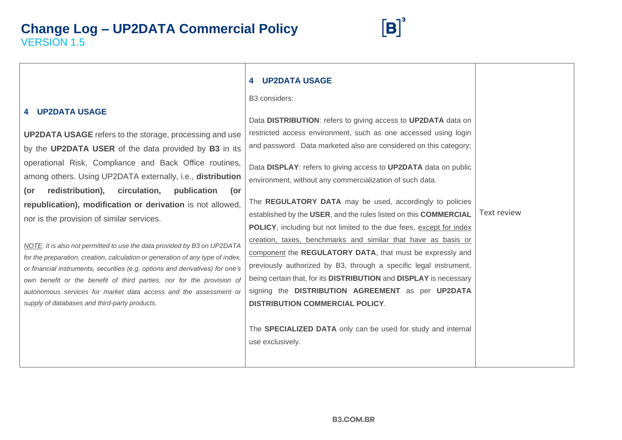

#### **4 UP2DATA USAGE**

B3 considers:

|                                                                                | DO GOHOREIS.                                                                |                    |
|--------------------------------------------------------------------------------|-----------------------------------------------------------------------------|--------------------|
| <b>4 UP2DATA USAGE</b>                                                         | Data DISTRIBUTION: refers to giving access to UP2DATA data on               |                    |
| <b>UP2DATA USAGE</b> refers to the storage, processing and use                 | restricted access environment, such as one accessed using login             |                    |
| by the UP2DATA USER of the data provided by B3 in its                          | and password. Data marketed also are considered on this category;           |                    |
| operational Risk, Compliance and Back Office routines,                         | Data DISPLAY: refers to giving access to UP2DATA data on public             |                    |
| among others. Using UP2DATA externally, i.e., distribution                     | environment, without any commercialization of such data.                    |                    |
| (or<br>redistribution), circulation,<br>publication<br>(or                     |                                                                             |                    |
| republication), modification or derivation is not allowed,                     | The REGULATORY DATA may be used, accordingly to policies                    |                    |
| nor is the provision of similar services.                                      | established by the USER, and the rules listed on this COMMERCIAL            | <b>Text review</b> |
|                                                                                | <b>POLICY</b> , including but not limited to the due fees, except for index |                    |
| NOTE: It is also not permitted to use the data provided by B3 on UP2DATA       | creation, taxes, benchmarks and similar that have as basis or               |                    |
| for the preparation, creation, calculation or generation of any type of index, | component the REGULATORY DATA, that must be expressly and                   |                    |
| or financial instruments, securities (e.g. options and derivatives) for one's  | previously authorized by B3, through a specific legal instrument,           |                    |
| own benefit or the benefit of third parties, nor for the provision of          | being certain that, for its DISTRIBUTION and DISPLAY is necessary           |                    |
| autonomous services for market data access and the assessment or               | signing the DISTRIBUTION AGREEMENT as per UP2DATA                           |                    |
| supply of databases and third-party products.                                  | <b>DISTRIBUTION COMMERCIAL POLICY.</b>                                      |                    |
|                                                                                |                                                                             |                    |
|                                                                                | The SPECIALIZED DATA only can be used for study and internal                |                    |
|                                                                                | use exclusively.                                                            |                    |
|                                                                                |                                                                             |                    |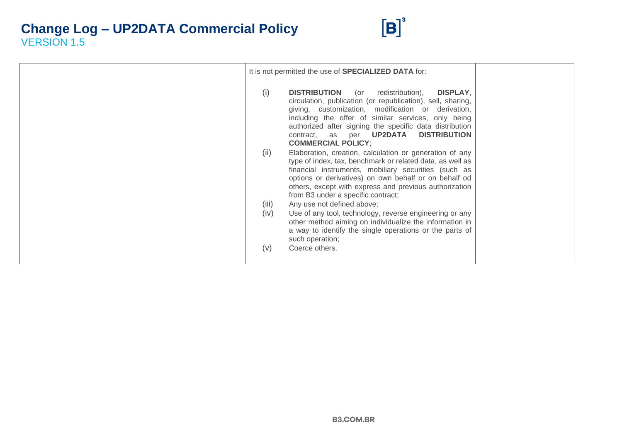

|               | It is not permitted the use of <b>SPECIALIZED DATA</b> for:                                                                                                                                                                                                                                                                                                              |  |
|---------------|--------------------------------------------------------------------------------------------------------------------------------------------------------------------------------------------------------------------------------------------------------------------------------------------------------------------------------------------------------------------------|--|
| (i)           | <b>DISTRIBUTION</b> (or redistribution),<br>DISPLAY,<br>circulation, publication (or republication), sell, sharing,<br>giving, customization, modification or derivation,<br>including the offer of similar services, only being<br>authorized after signing the specific data distribution<br>contract, as per <b>UP2DATA DISTRIBUTION</b><br><b>COMMERCIAL POLICY:</b> |  |
| (ii)          | Elaboration, creation, calculation or generation of any<br>type of index, tax, benchmark or related data, as well as<br>financial instruments, mobiliary securities (such as<br>options or derivatives) on own behalf or on behalf od<br>others, except with express and previous authorization<br>from B3 under a specific contract;                                    |  |
| (iii)<br>(iv) | Any use not defined above;<br>Use of any tool, technology, reverse engineering or any<br>other method aiming on individualize the information in<br>a way to identify the single operations or the parts of<br>such operation;                                                                                                                                           |  |
| (v)           | Coerce others.                                                                                                                                                                                                                                                                                                                                                           |  |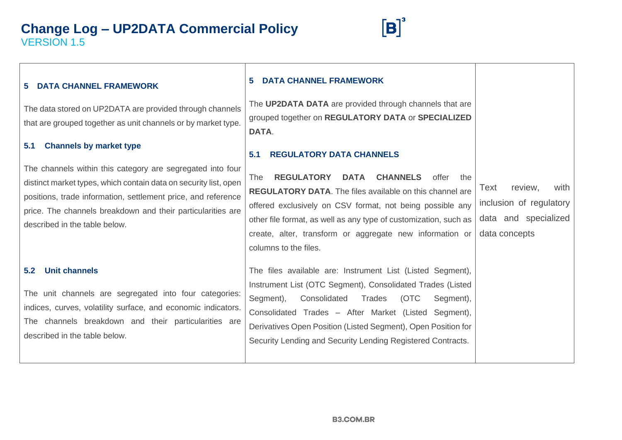

#### **5 DATA CHANNEL FRAMEWORK**

The data stored on UP2DATA are provided through channels that are grouped together as unit channels or by market type.

#### **5.1 Channels by market type**

The channels within this category are segregated into four distinct market types, which contain data on security list, open positions, trade information, settlement price, and reference price. The channels breakdown and their particularities are described in the table below.

#### **5.2 Unit channels**

The unit channels are segregated into four categories: indices, curves, volatility surface, and economic indicators. The channels breakdown and their particularities are described in the table below.

#### **5 DATA CHANNEL FRAMEWORK**

The **UP2DATA DATA** are provided through channels that are grouped together on **REGULATORY DATA** or **SPECIALIZED DATA**.

#### **5.1 REGULATORY DATA CHANNELS**

The **REGULATORY DATA CHANNELS** offer the **REGULATORY DATA**. The files available on this channel are offered exclusively on CSV format, not being possible any other file format, as well as any type of customization, such as create, alter, transform or aggregate new information or columns to the files.

The files available are: Instrument List (Listed Segment), Instrument List (OTC Segment), Consolidated Trades (Listed Segment), Consolidated Trades (OTC Segment), Consolidated Trades – After Market (Listed Segment), Derivatives Open Position (Listed Segment), Open Position for Security Lending and Security Lending Registered Contracts.

Text review, with inclusion of regulatory data and specialized data concepts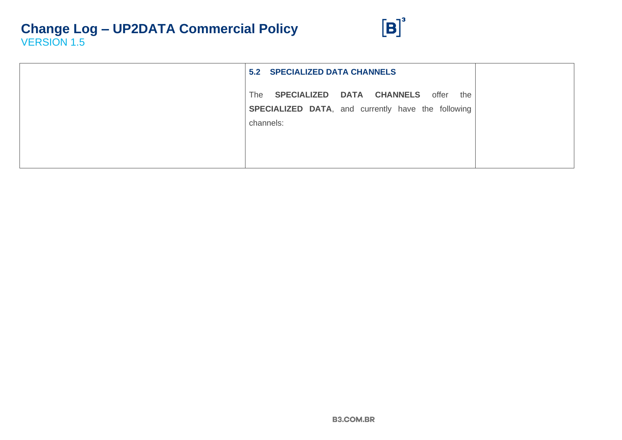

| 5.2 SPECIALIZED DATA CHANNELS                                                                                               |  |
|-----------------------------------------------------------------------------------------------------------------------------|--|
| <b>SPECIALIZED DATA CHANNELS</b> offer the<br>The<br><b>SPECIALIZED DATA, and currently have the following</b><br>channels: |  |
|                                                                                                                             |  |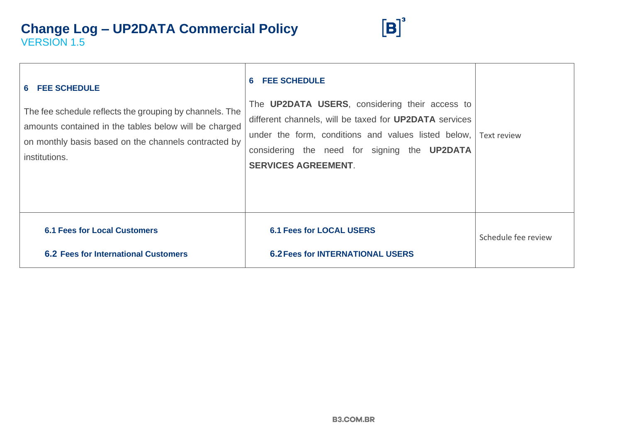

| 6 FEE SCHEDULE<br>The fee schedule reflects the grouping by channels. The<br>amounts contained in the tables below will be charged<br>on monthly basis based on the channels contracted by<br>institutions. | <b>FEE SCHEDULE</b><br>6.<br>The UP2DATA USERS, considering their access to<br>different channels, will be taxed for <b>UP2DATA</b> services<br>under the form, conditions and values listed below,<br>considering the need for signing the <b>UP2DATA</b><br><b>SERVICES AGREEMENT.</b> | Text review         |
|-------------------------------------------------------------------------------------------------------------------------------------------------------------------------------------------------------------|------------------------------------------------------------------------------------------------------------------------------------------------------------------------------------------------------------------------------------------------------------------------------------------|---------------------|
| <b>6.1 Fees for Local Customers</b><br><b>6.2 Fees for International Customers</b>                                                                                                                          | <b>6.1 Fees for LOCAL USERS</b><br><b>6.2 Fees for INTERNATIONAL USERS</b>                                                                                                                                                                                                               | Schedule fee review |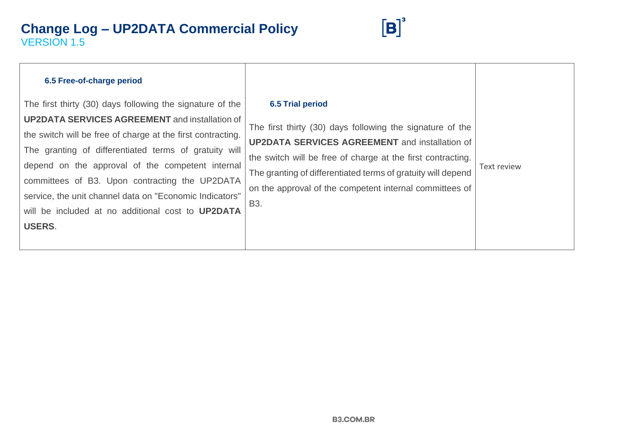

| 6.5 Free-of-charge period                                                                                                                                                                                                                                                                                                                                                                                                                                                         |                                                                                                                                                                                                                                                                                                                                                             |             |
|-----------------------------------------------------------------------------------------------------------------------------------------------------------------------------------------------------------------------------------------------------------------------------------------------------------------------------------------------------------------------------------------------------------------------------------------------------------------------------------|-------------------------------------------------------------------------------------------------------------------------------------------------------------------------------------------------------------------------------------------------------------------------------------------------------------------------------------------------------------|-------------|
| The first thirty (30) days following the signature of the<br><b>UP2DATA SERVICES AGREEMENT</b> and installation of<br>the switch will be free of charge at the first contracting.<br>The granting of differentiated terms of gratuity will<br>depend on the approval of the competent internal<br>committees of B3. Upon contracting the UP2DATA<br>service, the unit channel data on "Economic Indicators"<br>will be included at no additional cost to UP2DATA<br><b>USERS.</b> | <b>6.5 Trial period</b><br>The first thirty (30) days following the signature of the<br><b>UP2DATA SERVICES AGREEMENT</b> and installation of<br>the switch will be free of charge at the first contracting.<br>The granting of differentiated terms of gratuity will depend<br>on the approval of the competent internal committees of<br>B <sub>3</sub> . | Text review |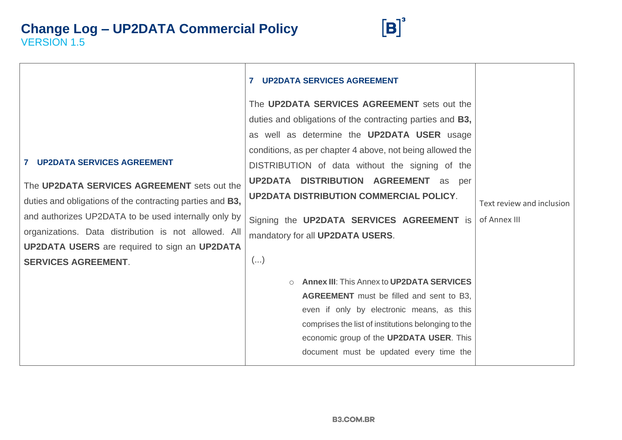

|                                                                                                                                                                                                                                                                                                                                                              | <b>UP2DATA SERVICES AGREEMENT</b>                                                                                                                                                                                                                                                                                                                                                                                                                                              |                                           |
|--------------------------------------------------------------------------------------------------------------------------------------------------------------------------------------------------------------------------------------------------------------------------------------------------------------------------------------------------------------|--------------------------------------------------------------------------------------------------------------------------------------------------------------------------------------------------------------------------------------------------------------------------------------------------------------------------------------------------------------------------------------------------------------------------------------------------------------------------------|-------------------------------------------|
| <b>7 UP2DATA SERVICES AGREEMENT</b><br>The UP2DATA SERVICES AGREEMENT sets out the<br>duties and obligations of the contracting parties and B3,<br>and authorizes UP2DATA to be used internally only by<br>organizations. Data distribution is not allowed. All<br><b>UP2DATA USERS</b> are required to sign an <b>UP2DATA</b><br><b>SERVICES AGREEMENT.</b> | The UP2DATA SERVICES AGREEMENT sets out the<br>duties and obligations of the contracting parties and <b>B3</b> ,<br>as well as determine the <b>UP2DATA USER</b> usage<br>conditions, as per chapter 4 above, not being allowed the<br>DISTRIBUTION of data without the signing of the<br>UP2DATA DISTRIBUTION AGREEMENT<br>as<br>per<br><b>UP2DATA DISTRIBUTION COMMERCIAL POLICY.</b><br>Signing the UP2DATA SERVICES AGREEMENT is<br>mandatory for all UP2DATA USERS.<br>() | Text review and inclusion<br>of Annex III |
|                                                                                                                                                                                                                                                                                                                                                              | <b>Annex III: This Annex to UP2DATA SERVICES</b><br><b>AGREEMENT</b> must be filled and sent to B3,<br>even if only by electronic means, as this<br>comprises the list of institutions belonging to the<br>economic group of the UP2DATA USER. This<br>document must be updated every time the                                                                                                                                                                                 |                                           |